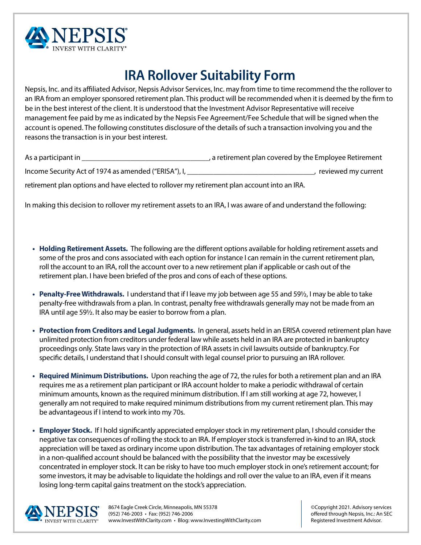

# **IRA Rollover Suitability Form**

Nepsis, Inc. and its affiliated Advisor, Nepsis Advisor Services, Inc. may from time to time recommend the the rollover to an IRA from an employer sponsored retirement plan. This product will be recommended when it is deemed by the firm to be in the best interest of the client. It is understood that the Investment Advisor Representative will receive management fee paid by me as indicated by the Nepsis Fee Agreement/Fee Schedule that will be signed when the account is opened. The following constitutes disclosure of the details of such a transaction involving you and the reasons the transaction is in your best interest.

| As a participant in                                  | , a retirement plan covered by the Employee Retirement |
|------------------------------------------------------|--------------------------------------------------------|
| Income Security Act of 1974 as amended ("ERISA"), I, | reviewed my current                                    |
|                                                      |                                                        |

retirement plan options and have elected to rollover my retirement plan account into an IRA.

In making this decision to rollover my retirement assets to an IRA, I was aware of and understand the following:

- Holding Retirement Assets. The following are the different options available for holding retirement assets and some of the pros and cons associated with each option for instance I can remain in the current retirement plan, roll the account to an IRA, roll the account over to a new retirement plan if applicable or cash out of the retirement plan. I have been briefed of the pros and cons of each of these options.
- **• Penalty-Free Withdrawals.** I understand that if I leave my job between age 55 and 59½, I may be able to take penalty-free withdrawals from a plan. In contrast, penalty free withdrawals generally may not be made from an IRA until age 59½. It also may be easier to borrow from a plan.
- **• Protection from Creditors and Legal Judgments.** In general, assets held in an ERISA covered retirement plan have unlimited protection from creditors under federal law while assets held in an IRA are protected in bankruptcy proceedings only. State laws vary in the protection of IRA assets in civil lawsuits outside of bankruptcy. For specific details, I understand that I should consult with legal counsel prior to pursuing an IRA rollover.
- **• Required Minimum Distributions.** Upon reaching the age of 72, the rules for both a retirement plan and an IRA requires me as a retirement plan participant or IRA account holder to make a periodic withdrawal of certain minimum amounts, known as the required minimum distribution. If I am still working at age 72, however, I generally am not required to make required minimum distributions from my current retirement plan. This may be advantageous if I intend to work into my 70s.
- **Employer Stock.** If I hold significantly appreciated employer stock in my retirement plan, I should consider the negative tax consequences of rolling the stock to an IRA. If employer stock is transferred in-kind to an IRA, stock appreciation will be taxed as ordinary income upon distribution. The tax advantages of retaining employer stock in a non-qualified account should be balanced with the possibility that the investor may be excessively concentrated in employer stock. It can be risky to have too much employer stock in one's retirement account; for some investors, it may be advisable to liquidate the holdings and roll over the value to an IRA, even if it means losing long-term capital gains treatment on the stock's appreciation.



©Copyright 2021. Advisory services offered through Nepsis, Inc.: An SEC Registered Investment Advisor.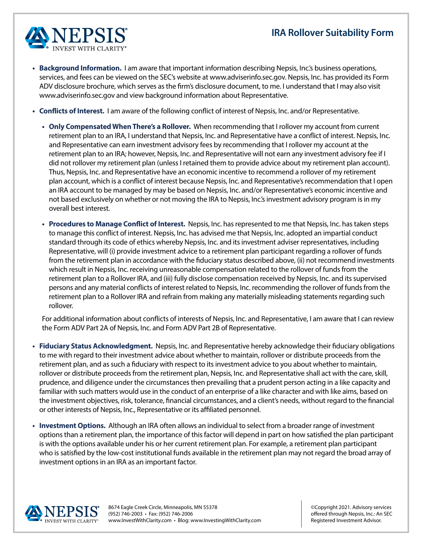## **IRA Rollover Suitability Form**



- **• Background Information.** I am aware that important information describing Nepsis, Inc.'s business operations, services, and fees can be viewed on the SEC's website at www.adviserinfo.sec.gov. Nepsis, Inc. has provided its Form ADV disclosure brochure, which serves as the firm's disclosure document, to me. I understand that I may also visit www.adviserinfo.sec.gov and view background information about Representative.
- **Conflicts of Interest.** I am aware of the following conflict of interest of Nepsis, Inc. and/or Representative.
	- **• Only Compensated When There's a Rollover.** When recommending that I rollover my account from current retirement plan to an IRA, I understand that Nepsis, Inc. and Representative have a conflict of interest. Nepsis, Inc. and Representative can earn investment advisory fees by recommending that I rollover my account at the retirement plan to an IRA; however, Nepsis, Inc. and Representative will not earn any investment advisory fee if I did not rollover my retirement plan (unless I retained them to provide advice about my retirement plan account). Thus, Nepsis, Inc. and Representative have an economic incentive to recommend a rollover of my retirement plan account, which is a conflict of interest because Nepsis, Inc. and Representative's recommendation that I open an IRA account to be managed by may be based on Nepsis, Inc. and/or Representative's economic incentive and not based exclusively on whether or not moving the IRA to Nepsis, Inc.'s investment advisory program is in my overall best interest.
	- **• Procedures to Manage Con!ict of Interest.** Nepsis, Inc. has represented to me that Nepsis, Inc. has taken steps to manage this conflict of interest. Nepsis, Inc. has advised me that Nepsis, Inc. adopted an impartial conduct standard through its code of ethics whereby Nepsis, Inc. and its investment adviser representatives, including Representative, will (i) provide investment advice to a retirement plan participant regarding a rollover of funds from the retirement plan in accordance with the fiduciary status described above, (ii) not recommend investments which result in Nepsis, Inc. receiving unreasonable compensation related to the rollover of funds from the retirement plan to a Rollover IRA, and (iii) fully disclose compensation received by Nepsis, Inc. and its supervised persons and any material conflicts of interest related to Nepsis, Inc. recommending the rollover of funds from the retirement plan to a Rollover IRA and refrain from making any materially misleading statements regarding such rollover.

For additional information about conflicts of interests of Nepsis, Inc. and Representative, I am aware that I can review the Form ADV Part 2A of Nepsis, Inc. and Form ADV Part 2B of Representative.

- Fiduciary Status Acknowledgment. Nepsis, Inc. and Representative hereby acknowledge their fiduciary obligations to me with regard to their investment advice about whether to maintain, rollover or distribute proceeds from the retirement plan, and as such a fiduciary with respect to its investment advice to you about whether to maintain, rollover or distribute proceeds from the retirement plan, Nepsis, Inc. and Representative shall act with the care, skill, prudence, and diligence under the circumstances then prevailing that a prudent person acting in a like capacity and familiar with such matters would use in the conduct of an enterprise of a like character and with like aims, based on the investment objectives, risk, tolerance, financial circumstances, and a client's needs, without regard to the financial or other interests of Nepsis, Inc., Representative or its affiliated personnel.
- **• Investment Options.** Although an IRA often allows an individual to select from a broader range of investment options than a retirement plan, the importance of this factor will depend in part on how satisfied the plan participant is with the options available under his or her current retirement plan. For example, a retirement plan participant who is satisfied by the low-cost institutional funds available in the retirement plan may not regard the broad array of investment options in an IRA as an important factor.



©Copyright 2021. Advisory services offered through Nepsis, Inc.: An SEC Registered Investment Advisor.